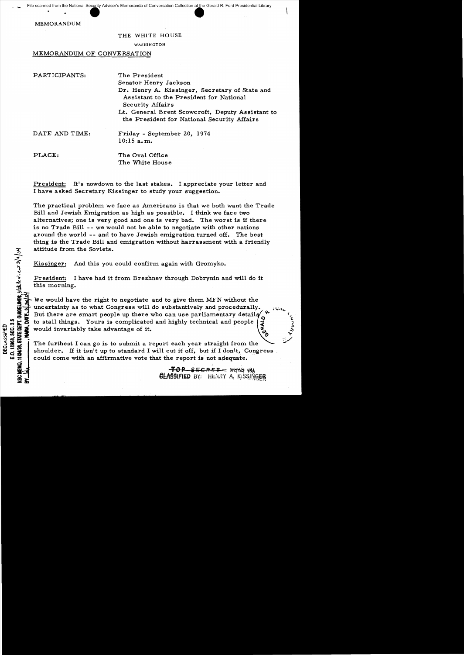MEMORANDUM

CHEMO.

 $\approx$   $\alpha$ 

## THE WHITE HOUSE

## WASHINGTON

## MEMORANDUM OF CONVERSATION

| The President                                                                                                 |
|---------------------------------------------------------------------------------------------------------------|
| Senator Henry Jackson                                                                                         |
| Dr. Henry A. Kissinger, Secretary of State and<br>Assistant to the President for National<br>Security Affairs |
| Lt. General Brent Scowcroft, Deputy Assistant to                                                              |
| the President for National Security Affairs                                                                   |
| Friday - September 20, 1974                                                                                   |
| 10:15 a.m.                                                                                                    |
| The Oval Office                                                                                               |
| The White House                                                                                               |
|                                                                                                               |

President: It's nowdown to the last stakes. I appreciate your letter and I have asked Secretary Kissinger to study your suggestion.

The practical problem we face as Americans is that we both want the Trade Bill and Jewish Emigration as high as possible. I think we face two alternatives; one is very good and one is very bad. The worst is if there is no Trade Bill -- we would not be able to negotiate with other nations around the world -- and to have Jewish emigration turned off. The best thing is the Trade Bill and emigration without harrassment with a friendly attitude from the Soviets.

Kissinger: And this you could confirm again with Gromyko.

 $\vec{v}$  this morni Freshen: 1<br>this morning.

For the Soviets.<br>
The singler: And this you could confirm again with Gromyko.<br>
The singler: I have had it from Brezhnev through Dobrynin and will do it<br>
this morning.<br>
This morning.<br>
The would have the right to negotiate We would have the right to negotiate and to give them MFN without the uncertainty as to what Congress will do substantively and procedurally. But there are smart people up there who can use parliamentary details

:  $\frac{1}{100}$  is to stall things. Yours is complicated and highly technical and people<br>states would invariably take advantage of it.<br> $\frac{1}{100}$  The furthest I can go is to submit a report each year straight from the<br>stat  $\frac{1}{2}$   $\frac{1}{2}$  would invariably take advantage of it.<br>  $\frac{1}{2}$   $\frac{1}{2}$   $\frac{1}{2}$   $\frac{1}{2}$  The furthest I can go is to submit a r<br>  $\frac{1}{2}$  shoulder. If it isn't up to standard I ~; ~ ~ ~:c) <sup>5</sup>=. The furthest I can go is to submit a report each year straight from the ..".  $\frac{3}{10}$   $\frac{36}{10}$   $\frac{62}{10}$  The furthest I can go is to submit a report each year straight from the shoulder. If it isn't up to standard I will cut it off, but if I don't, Congress could come with an affirmative vote that the report is not adequate.

> $\overline{40P}$  SECRET =  $X698$  (8) **CLASSIFIED BY: HENRY A. KISSINGER**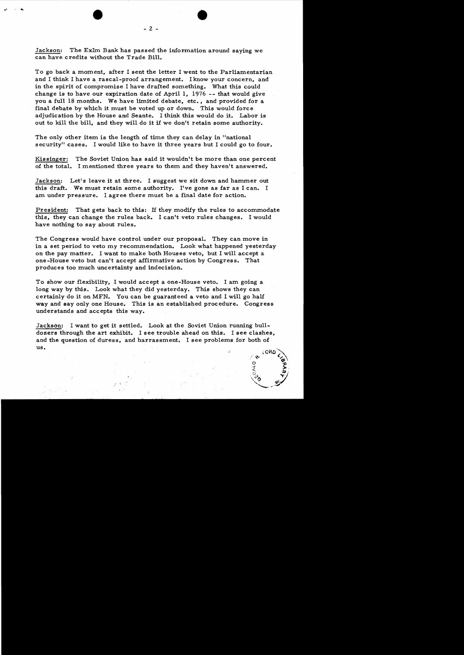Jackson: The ExIm Bank has passed the information around saying we can have credits without the Trade Bill.

To go back a moment, after I sent the letter I went to the Parliamentarian and I think I have a rascal-proof arrangement. I know your concern, and in the spirit of compromise I have drafted something. What this could change is to have our expiration date of April I, 1976 -- that would give you a full 18 months. We have limited debate, etc., and provided for a final debate by which it must be voted up or down. This would force adjudication by the House and Seante. I think this would do it. Labor is out to kill the bill, and they will do it if we don't retain some authority.

The only other item is the length of time they can delay in "national" security" cases. I would like to have it three years but I could go to four.

Kissinger: The Soviet Union has said it wouldn't be more than one percent of the total. I mentioned three years to them and they haven't answered.

Jackson: Let's leave it at three. I suggest we sit down and hammer out this draft. We must retain some authority. I've gone as far as I can. I am under pressure. I agree there must be a final date for action.

President: That gets back to this: If they modify the rules to accommodate this, they can change the rules back. I can't veto rules changes. I would have nothing to say about rules.

The Congress would have control under our proposal. They can move in in a set period to veto my recommendation. Look what happened yesterday on the pay matter. I want to make both Houses veto, but I will accept a one-House veto but can't accept affirmative action by Congress. That produces too much uncertainty and indecision.

To show our flexibility, I would accept a one-House veto. I am going a long way by this. Look what they did yesterday. This shows they can certainly do it on MFN. You can be guaranteed a veto and I will go half way and say only one House. This is an established procedure. Congress understands and accepts this way.

Jackson: I want to get it settled. Look at the Soviet Union running bulldozers through the art exhibit. I see trouble ahead on this. I see clashes, and the question of duress, and harrassment. I see problems for both of us.

•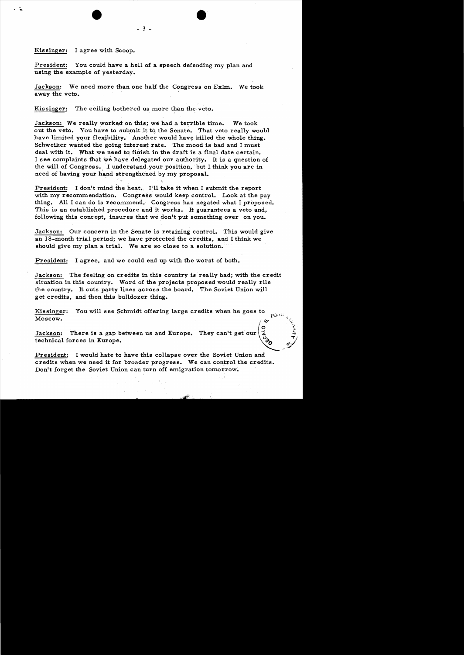## Kissinger: I agree with Scoop.

 $\cdot$  .

President: You could have a hell of a speech defending my plan and using the example of yesterday.

- 3 -

•

Jackson: We need more than one half the Congress on  $ExIm.$  We took away the veto.

Kissinger: The ceiling bothered us more than the veto.

Jackson: We really worked on this; we had a terrible time. We took out the veto. You have to submit it to the Senate. That veto really would have limited your flexibility. Another would have killed the whole thing. Schweiker wanted the going interest rate. The mood is bad and I must deal with it. What we need to finish in the draft is a final date certain. I see complaints that we have delegated our authority. It is a question of the will of Congress. I understand 'your position, but I think you are in need of having your hand strengthened by my proposal.

President: I don't mind the heat. I'll take it when I submit the report with my recommendation. Congress would keep control. Look at the pay thing. All I can do is recommend. Congress has negated what I proposed. This is an established procedure and it works. It guarantees a veto and, following this concept, insures that we don't put something over on you.

Jackson: Our concern in the Senate is retaining control. This would give an 18-month trial period; we have protected the credits, and I think we should give my plan a trial. We are so close to a solution.

President: I agree, and we could end up with the worst of both.

Jackson: The feeling on credits in this country is really bad; with the credit situation in this country. Word of the projects proposed would really rile the country. It cuts party lines across the board. The Soviet Union will get credits, and then this bulldozer thing.

';;'

Kissinger: You will see Schmidt offering large credits when he goes to  $\sim$  $\frac{1}{\sqrt{2}}$  . The mass of some services  $\frac{1}{\sqrt{2}}$  and  $\frac{1}{\sqrt{2}}$  for  $\frac{1}{\sqrt{2}}$ 

 $\mathbf{S}$   $\mathbf{S}$ Jackson: There is a gap between us and Europe. They can't get our technical forces in Europe.  $\sim$ 

President: I would hate to have this collapse over the Soviet Union and credits when we need it for broader progress. We can control the credits. Don't forget the Soviet Union can turn off emigration tomorrow.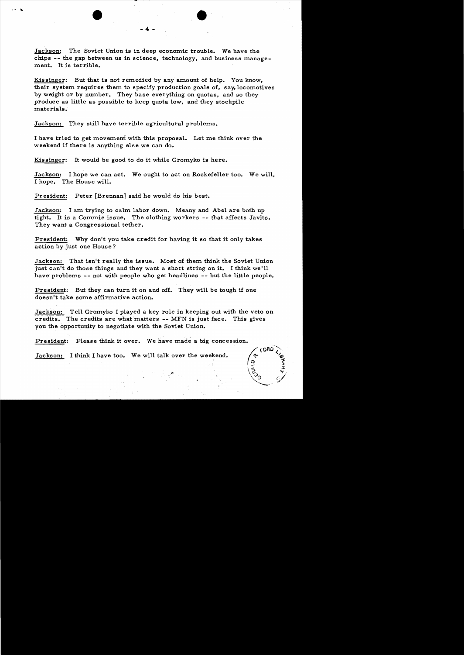Jackson: The Soviet Union is in deep economic trouble. We have the chips -- the gap between us in science, technology, and business management. It is terrible.

•

- 4

Kissinger: But that is not remedied by any amount of help. You know, their system requires them to specify production goals of, say, locomotives by weight or by number. They base everything on quotas, and so they produce as little as possible to keep quota low, and they stockpile materials.

Jackson: They still have terrible agricultural problems.

I have tried to get movement with this proposal. Let me think over the weekend if there is anything else we can do.

Kis singer: It would be good to do it while Gromyko is here.

Jackson: I hope we can act. We ought to act on Rockefeller too. We will, I hope. The House will.

President: Peter [Brennan] said he would do his best.

Jackson: I am trying to calm labor down. Meany and Abel are both up tight. It is a Commie issue. The clothing workers -- that affects Javits. They want a Congressional tether.

President: Why don't you take credit for having it so that it only takes action by just one House?

Jackson: That isn't really the issue. Most of them think the Soviet Union just can't do those things and they want a short string on it. I think we'll have problems -- not with people who get headlines -- but the little people.

President: But they can turn it on and off. They will be tough if one doesn't take some affirmative action.

Jackson: Tell Gromyko I played a key role in keeping out with the veto on credits. The credits are what matters **--** MFN is just face. This gives you the opportunity to negotiate with the Soviet Union.

President: Please think it over. We have made a big concession.

Jackson: I think I have too. We will talk over the weekend.

r: (ORO?,  $\circ$   $\mathcal{F}$ Thus is a set of the set of the set of the set of the set of the set of the set of the set of the set of the s<br>  $\mathcal{F}_{\mathbf{t}}$  $\vee$  o ,--.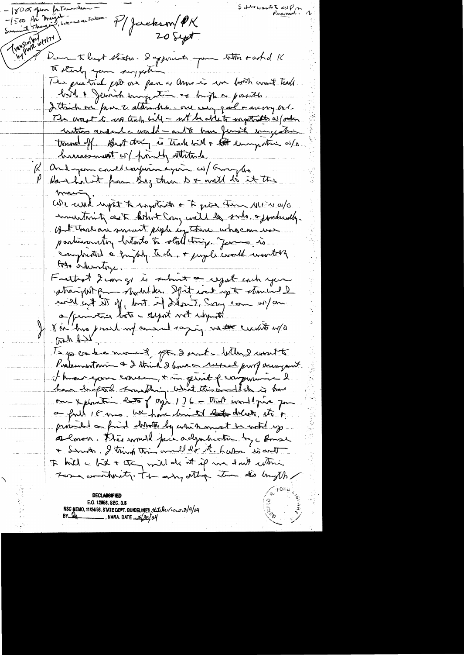-1500 for Margit -<br>Samment Thursday Settlement  $-800$  pin pin Personne Myackson/PK Transcript 177 20 Sept Donn to begt states. I appenante pour titter tasted K to starty your suggestion les prétrie pour on par a anne se un bont vont trade birt I feinen ungente es bight posite I think we fave to attendant - one seem quel + are very out-The worst is no track will - not be able to ingettiates is forten instrios andule would - and to have finish songestion tound of But thing is track with a the emigration as/o dimensement of pointly attitude Onderpose could experience for colomorfloo (L Harshalit from By then I + will do it the <u>mmer</u> We wise up it to mystricts of to give them MENWO inventarity cent bortont Cong will be subs a jundamely. But there are smart people in these who can use partimenton betook to stall thing - Jen - is complemented a frighty tech. + jugale crowde wanterly toto inhuntinge. Frethot d'un gl is submit a regal coch you stranght promoter Spit int up to starting I will int the first of Labor Time in the this leave a frances lots - depot not when the Kai his posed my annul saying vette credits w/o and the Is you kanned for don't why won't Postementarin & 2 think 2 bout a refuel proof aring mit. I know your concer, + in gent of computing on Apintin let (ogh 1) 6 - That would prive for a full IF was, we have loved to the delisite, at it provided on find detrotte by white mint be with up. Almon. This would face adjudication by a Amore It kill a bit + they will do it if we don't whin Terms contracts. The estry other time the bright E.O. 12968, SEC. 3.5 NSC MEMO, 11/24/98, STATE DEPT. GUNDELINES Statelericus 3/9/04<br>BY LOG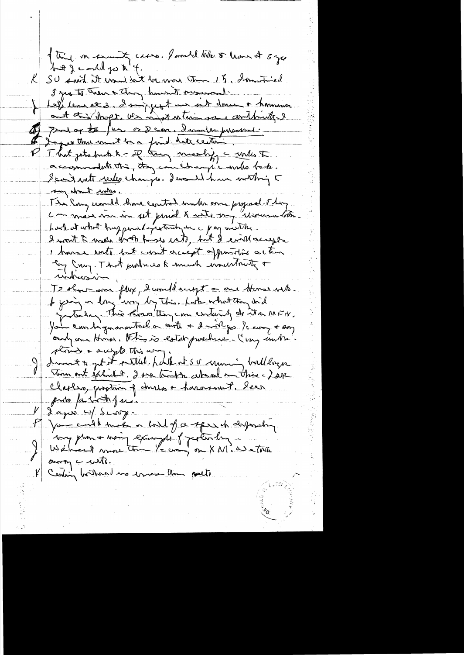of they in examing cases, founded who or have at 5 year but & conded go to 4. K SU suit it want we be more tom 15, Immitived 3 yes to Treas & Chang howevert original. Let lement 3. I miggent un int donc + homme ant this short. We might interim some continuity & Of pularte fur os Dem, dander personnel. I agree that must be a front date center. That jets buch to - if they meeting a will to  $\boldsymbol{V}$ accommodation to conchangée mas back. Scait rules changes. Include how within 5 any about make. The long would have control under one psynal They commer me in set priet & auto-ong erroren lotter. hask at what hay pearly settled one pay weather. I won't I wake both friese with, but I evil accept I have note but can't accept appointing action En Cruz. That produces much insurant rindression To show arm flux, I would accept a one towns with. I find on long way by this. Late what they did fortalize. This thoughting comentainty de it a MFH. You am tignarmetrel a conte + 2 in for learn + say outgone Honor, this is establishment - Ing inthe. stories a supportion way dreament to get it settled. Lask at set uning buildings Tom out exhibit . I see that in where an this a ) sep Claphro, prostice of drugs a harament. Year prio periode just  $1/2$  agrée  $\rightarrow$  Scorp. Myse could meet a built of a speech despending. voy pluma moin example of perturbing  $arctan$ Ceding bothout we invese the pulled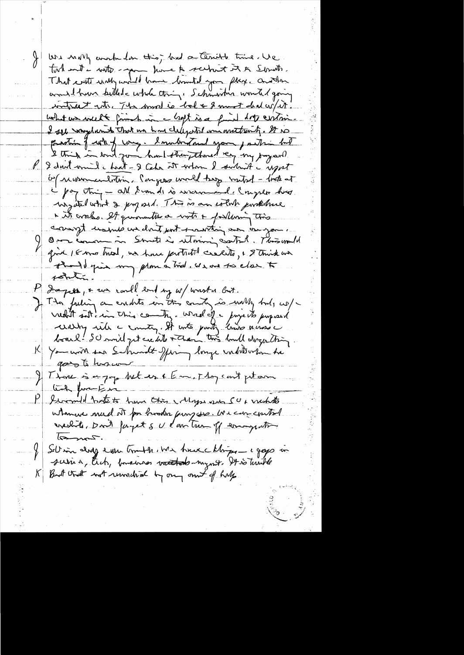We moving work for this, and a terrible time . We took and i with good home to school it to Servite. and have killed whole thing, Schwarten would going intract rate. The moral is bal & 8 mont deal with. what we will friend in a look is a find drop centri. I see saystamed That we have cleared to an another of. It is protion of work of long. Inubintand your partir but I dont will hat - I take it when I subuit a uport <u> 64 momentaline Pengoss world trop mutich - look at</u> - pay thing - all Sconds is were and I myselve has why it what I proposed. This is an with probabine i it croches. It quincutres with + following this compt unsure un dont port montain aux de you Om comme in South à utomin catal. This mult gind 16 mo tried, we have pertrett create, & 8 think we totalin Dapos , & un could end y w/ waster but. Il The futing on endste in the country is with but, we/ washy with a country. It with party know a was a You with sea Schwidt Jfing longe inditorion the goes to harmon Il Those is a joy bet es & Em, Thoy can't peter tick function I would bete to have this Maps and SU, makets utance mad et par brooker provisse. We can control  $l$ Sellin dig even truth, We have Morgan a gays in suris, tich, basernos vatado-mynt. It is truthe But that not remained by any out of help